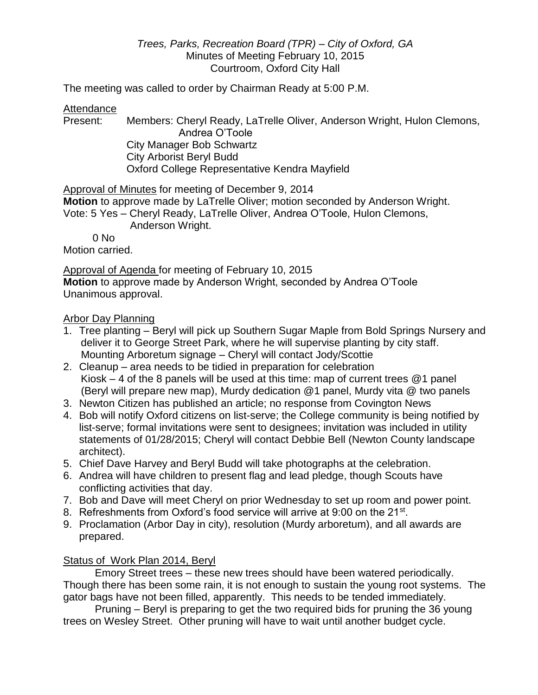## *Trees, Parks, Recreation Board (TPR) – City of Oxford, GA* Minutes of Meeting February 10, 2015 Courtroom, Oxford City Hall

The meeting was called to order by Chairman Ready at 5:00 P.M.

## Attendance

Present: Members: Cheryl Ready, LaTrelle Oliver, Anderson Wright, Hulon Clemons, Andrea O'Toole City Manager Bob Schwartz City Arborist Beryl Budd Oxford College Representative Kendra Mayfield

Approval of Minutes for meeting of December 9, 2014

**Motion** to approve made by LaTrelle Oliver; motion seconded by Anderson Wright. Vote: 5 Yes – Cheryl Ready, LaTrelle Oliver, Andrea O'Toole, Hulon Clemons,

Anderson Wright.

 $0$  No

Motion carried.

Approval of Agenda for meeting of February 10, 2015

**Motion** to approve made by Anderson Wright, seconded by Andrea O'Toole Unanimous approval.

# Arbor Day Planning

- 1. Tree planting Beryl will pick up Southern Sugar Maple from Bold Springs Nursery and deliver it to George Street Park, where he will supervise planting by city staff. Mounting Arboretum signage – Cheryl will contact Jody/Scottie
- 2. Cleanup area needs to be tidied in preparation for celebration Kiosk  $-4$  of the 8 panels will be used at this time: map of current trees  $@1$  panel (Beryl will prepare new map), Murdy dedication @1 panel, Murdy vita @ two panels
- 3. Newton Citizen has published an article; no response from Covington News
- 4. Bob will notify Oxford citizens on list-serve; the College community is being notified by list-serve; formal invitations were sent to designees; invitation was included in utility statements of 01/28/2015; Cheryl will contact Debbie Bell (Newton County landscape architect).
- 5. Chief Dave Harvey and Beryl Budd will take photographs at the celebration.
- 6. Andrea will have children to present flag and lead pledge, though Scouts have conflicting activities that day.
- 7. Bob and Dave will meet Cheryl on prior Wednesday to set up room and power point.
- 8. Refreshments from Oxford's food service will arrive at 9:00 on the 21<sup>st</sup>.
- 9. Proclamation (Arbor Day in city), resolution (Murdy arboretum), and all awards are prepared.

# Status of Work Plan 2014, Beryl

Emory Street trees – these new trees should have been watered periodically. Though there has been some rain, it is not enough to sustain the young root systems. The gator bags have not been filled, apparently. This needs to be tended immediately.

Pruning – Beryl is preparing to get the two required bids for pruning the 36 young trees on Wesley Street. Other pruning will have to wait until another budget cycle.